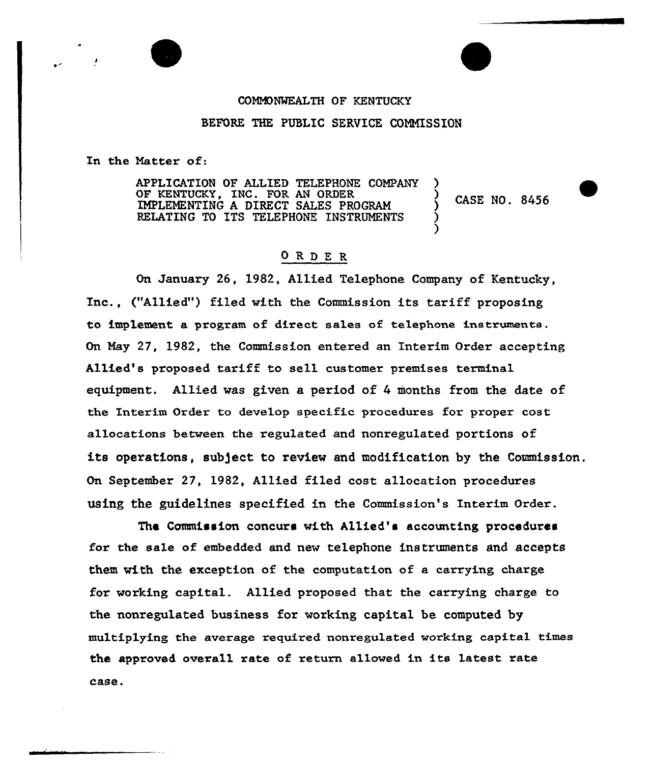## CONHDNMEALTH OF KENTUCKY BEFORE THE PUBLIC SERVICE COMMISSION

In the Natter of:

APPLICATION OF ALLIED TELEPHONE COMPANY OF KENTUCKY, INC. FOR AN ORDER CASE NO. 8456 IMPLEMENTING A DIRECT SALES PROGRAM RELATING TO ITS TELEPHONE INSTRUMENTS )

## ORDE <sup>R</sup>

On January 26, 1982, Allied Telephone Company of Kentucky, Inc., ("Allied") filed with the Commission its tariff proposing to implement a program of direct sales of telephone instruments. On May 27, 1982, the Commission entered an Interim Order accepting Allied's proposed tariff to sell customer premises terminal equipment. Allied was given a period of 4 months from the date of the Interim Order to develop specific procedures for proper cost allocations between the regulated and nonregulated portions of its operations, subject to review and modification by the Commission. On September 27, 1982, Allied filed cost allocation procedures using the guidelines specified in the Commission's Interim Order.

The Commission concurs with Allied's accounting procedures for the sale of embedded and new telephone instruments and accepts them with the exception of the computation of a carrying charge for working capital. Allied proposed that the carrying charge to the nonregulated business for working capital be computed by multip1ying the average required nonregulated working capital times the approved overa11 rate of return allowed in its latest rate case.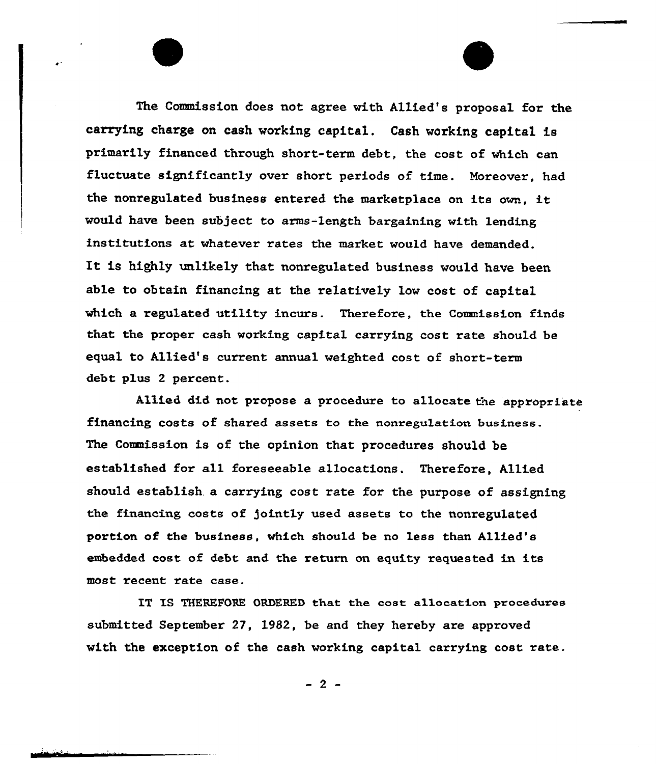The Commission does not agree with Allied's pxoposal for the carrying charge on cash working capital. Cash working capital is primarily financed through short-term debt, the cost of which can fluctuate significantly over short periods of time. Moreover, had the nonxegulated business entered the marketplace on its own, it would have been subject to arms-length bargaining with lending institutions at whatever rates the market would have demanded. It is highly unlikely that nonregulated business would have been able to obtain financing at the relatively low cost of capital which a regulated utility incurs. Therefore, the Commission finds that the proper cash working capital carrying cost rate should be equal to Allied's current annual weighted cost of short-term debt plus 2 percent.

Allied did not propose a procedure to allocate the appropriate financing costs of shared assets to the nonregulation business. The Commission is of the opinion that procedures should be established for all foreseeable allocations. Therefore, Allied should establish. a carrying cost rate for the purpose of assigning the financing costs of jointly used assets to the nonresulated portion of the business, which should be no less than Allied's embedded cost of debt and the return on equity requested in its most recent rate case.

IT IS THEREFORE ORDERED that the cost allocation procedures submitted September 27, 1982, be and they hereby are approved with the exception of the cash working capital carrying cost rate.

 $-2-$